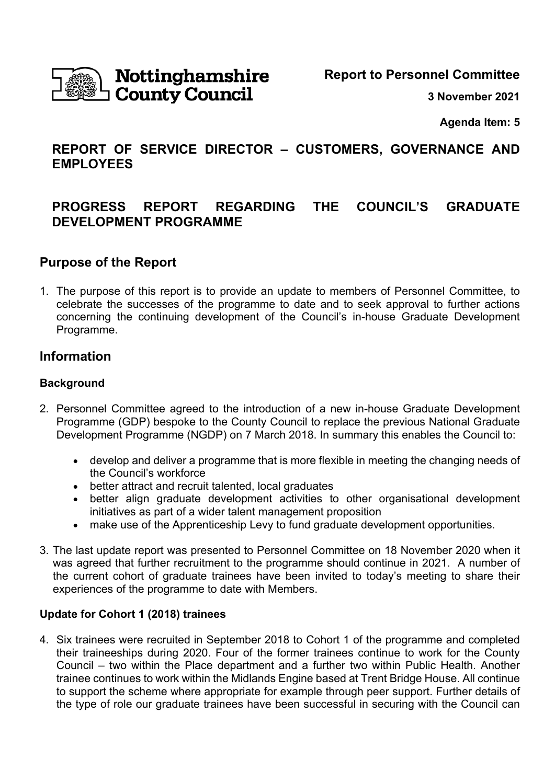

# **Nottinghamshire County Council**

**Report to Personnel Committee** 

**3 November 2021** 

**Agenda Item: 5** 

## **REPORT OF SERVICE DIRECTOR – CUSTOMERS, GOVERNANCE AND EMPLOYEES**

## **PROGRESS REPORT REGARDING THE COUNCIL'S GRADUATE DEVELOPMENT PROGRAMME**

## **Purpose of the Report**

1. The purpose of this report is to provide an update to members of Personnel Committee, to celebrate the successes of the programme to date and to seek approval to further actions concerning the continuing development of the Council's in-house Graduate Development Programme.

## **Information**

### **Background**

- 2. Personnel Committee agreed to the introduction of a new in-house Graduate Development Programme (GDP) bespoke to the County Council to replace the previous National Graduate Development Programme (NGDP) on 7 March 2018. In summary this enables the Council to:
	- develop and deliver a programme that is more flexible in meeting the changing needs of the Council's workforce
	- better attract and recruit talented, local graduates
	- better align graduate development activities to other organisational development initiatives as part of a wider talent management proposition
	- make use of the Apprenticeship Levy to fund graduate development opportunities.
- 3. The last update report was presented to Personnel Committee on 18 November 2020 when it was agreed that further recruitment to the programme should continue in 2021. A number of the current cohort of graduate trainees have been invited to today's meeting to share their experiences of the programme to date with Members.

#### **Update for Cohort 1 (2018) trainees**

4. Six trainees were recruited in September 2018 to Cohort 1 of the programme and completed their traineeships during 2020. Four of the former trainees continue to work for the County Council – two within the Place department and a further two within Public Health. Another trainee continues to work within the Midlands Engine based at Trent Bridge House. All continue to support the scheme where appropriate for example through peer support. Further details of the type of role our graduate trainees have been successful in securing with the Council can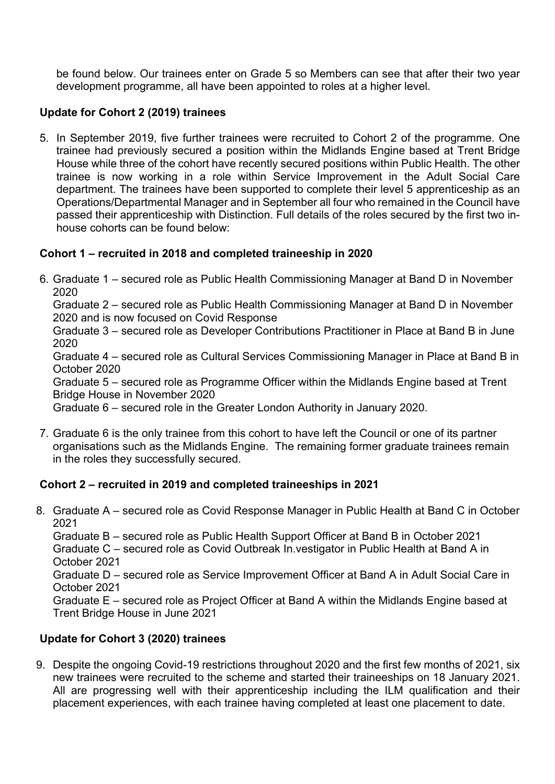be found below. Our trainees enter on Grade 5 so Members can see that after their two year development programme, all have been appointed to roles at a higher level.

## **Update for Cohort 2 (2019) trainees**

5. In September 2019, five further trainees were recruited to Cohort 2 of the programme. One trainee had previously secured a position within the Midlands Engine based at Trent Bridge House while three of the cohort have recently secured positions within Public Health. The other trainee is now working in a role within Service Improvement in the Adult Social Care department. The trainees have been supported to complete their level 5 apprenticeship as an Operations/Departmental Manager and in September all four who remained in the Council have passed their apprenticeship with Distinction. Full details of the roles secured by the first two inhouse cohorts can be found below:

## **Cohort 1 – recruited in 2018 and completed traineeship in 2020**

6. Graduate 1 – secured role as Public Health Commissioning Manager at Band D in November 2020

Graduate 2 – secured role as Public Health Commissioning Manager at Band D in November 2020 and is now focused on Covid Response

Graduate 3 – secured role as Developer Contributions Practitioner in Place at Band B in June 2020

Graduate 4 – secured role as Cultural Services Commissioning Manager in Place at Band B in October 2020

Graduate 5 – secured role as Programme Officer within the Midlands Engine based at Trent Bridge House in November 2020

Graduate 6 – secured role in the Greater London Authority in January 2020.

7. Graduate 6 is the only trainee from this cohort to have left the Council or one of its partner organisations such as the Midlands Engine. The remaining former graduate trainees remain in the roles they successfully secured.

## **Cohort 2 – recruited in 2019 and completed traineeships in 2021**

8. Graduate A – secured role as Covid Response Manager in Public Health at Band C in October 2021

Graduate B – secured role as Public Health Support Officer at Band B in October 2021

Graduate C – secured role as Covid Outbreak In.vestigator in Public Health at Band A in October 2021

Graduate D – secured role as Service Improvement Officer at Band A in Adult Social Care in October 2021

Graduate E – secured role as Project Officer at Band A within the Midlands Engine based at Trent Bridge House in June 2021

## **Update for Cohort 3 (2020) trainees**

9. Despite the ongoing Covid-19 restrictions throughout 2020 and the first few months of 2021, six new trainees were recruited to the scheme and started their traineeships on 18 January 2021. All are progressing well with their apprenticeship including the ILM qualification and their placement experiences, with each trainee having completed at least one placement to date.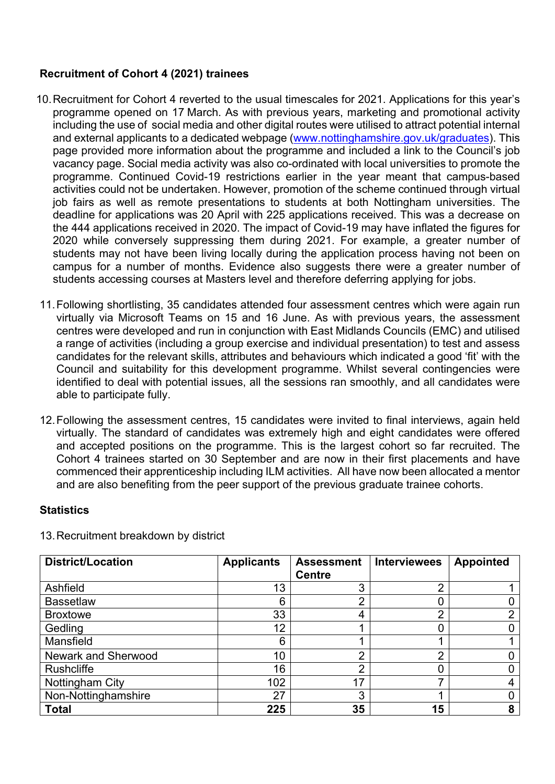#### **Recruitment of Cohort 4 (2021) trainees**

- 10. Recruitment for Cohort 4 reverted to the usual timescales for 2021. Applications for this year's programme opened on 17 March. As with previous years, marketing and promotional activity including the use of social media and other digital routes were utilised to attract potential internal and external applicants to a dedicated webpage (www.nottinghamshire.gov.uk/graduates). This page provided more information about the programme and included a link to the Council's job vacancy page. Social media activity was also co-ordinated with local universities to promote the programme. Continued Covid-19 restrictions earlier in the year meant that campus-based activities could not be undertaken. However, promotion of the scheme continued through virtual job fairs as well as remote presentations to students at both Nottingham universities. The deadline for applications was 20 April with 225 applications received. This was a decrease on the 444 applications received in 2020. The impact of Covid-19 may have inflated the figures for 2020 while conversely suppressing them during 2021. For example, a greater number of students may not have been living locally during the application process having not been on campus for a number of months. Evidence also suggests there were a greater number of students accessing courses at Masters level and therefore deferring applying for jobs.
- 11. Following shortlisting, 35 candidates attended four assessment centres which were again run virtually via Microsoft Teams on 15 and 16 June. As with previous years, the assessment centres were developed and run in conjunction with East Midlands Councils (EMC) and utilised a range of activities (including a group exercise and individual presentation) to test and assess candidates for the relevant skills, attributes and behaviours which indicated a good 'fit' with the Council and suitability for this development programme. Whilst several contingencies were identified to deal with potential issues, all the sessions ran smoothly, and all candidates were able to participate fully.
- 12. Following the assessment centres, 15 candidates were invited to final interviews, again held virtually. The standard of candidates was extremely high and eight candidates were offered and accepted positions on the programme. This is the largest cohort so far recruited. The Cohort 4 trainees started on 30 September and are now in their first placements and have commenced their apprenticeship including ILM activities. All have now been allocated a mentor and are also benefiting from the peer support of the previous graduate trainee cohorts.

#### **Statistics**

| <b>District/Location</b> | <b>Applicants</b> | <b>Assessment</b><br><b>Centre</b> | <b>Interviewees</b> | <b>Appointed</b> |
|--------------------------|-------------------|------------------------------------|---------------------|------------------|
| Ashfield                 | 13                | 3                                  | $\overline{2}$      |                  |
| <b>Bassetlaw</b>         | 6                 | $\overline{2}$                     |                     |                  |
| <b>Broxtowe</b>          | 33                | 4                                  | $\overline{2}$      |                  |
| Gedling                  | 12                |                                    |                     |                  |
| Mansfield                | 6                 |                                    |                     |                  |
| Newark and Sherwood      | 10                | 2                                  | റ                   |                  |
| <b>Rushcliffe</b>        | 16                | C                                  |                     |                  |
| Nottingham City          | 102               | 17                                 |                     |                  |
| Non-Nottinghamshire      | 27                | 3                                  |                     |                  |
| <b>Total</b>             | 225               | 35                                 | 15                  |                  |

13. Recruitment breakdown by district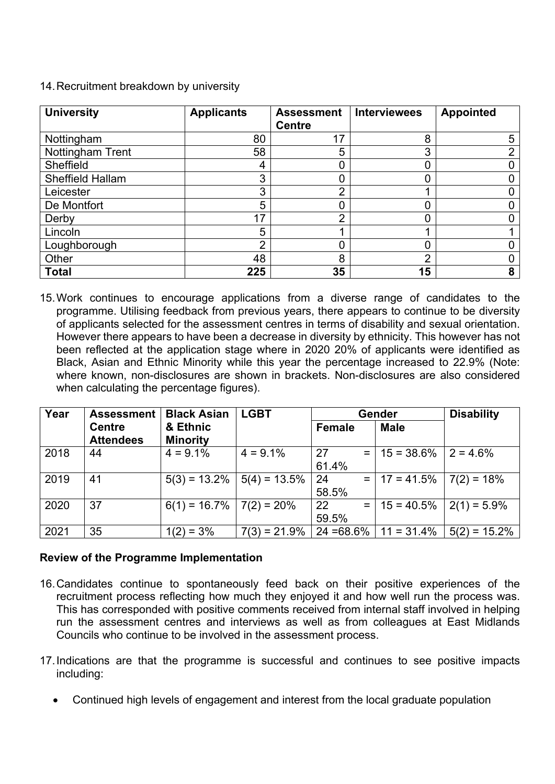| <b>University</b> | <b>Applicants</b> | <b>Assessment</b><br><b>Centre</b> | <b>Interviewees</b> | <b>Appointed</b> |
|-------------------|-------------------|------------------------------------|---------------------|------------------|
| Nottingham        | 80                | 17                                 | 8                   | 5                |
| Nottingham Trent  | 58                | 5                                  | 3                   | ⌒                |
| Sheffield         | 4                 |                                    | 0                   |                  |
| Sheffield Hallam  | 3                 |                                    | 0                   |                  |
| Leicester         | 3                 | ⌒                                  |                     |                  |
| De Montfort       | 5                 |                                    | 0                   |                  |
| Derby             | 17                | ⌒                                  | 0                   |                  |
| Lincoln           | 5                 |                                    |                     |                  |
| Loughborough      | $\overline{2}$    |                                    | 0                   |                  |
| Other             | 48                | 8                                  | $\overline{2}$      |                  |
| <b>Total</b>      | 225               | 35                                 | 15                  | 8                |

14. Recruitment breakdown by university

15. Work continues to encourage applications from a diverse range of candidates to the programme. Utilising feedback from previous years, there appears to continue to be diversity of applicants selected for the assessment centres in terms of disability and sexual orientation. However there appears to have been a decrease in diversity by ethnicity. This however has not been reflected at the application stage where in 2020 20% of applicants were identified as Black, Asian and Ethnic Minority while this year the percentage increased to 22.9% (Note: where known, non-disclosures are shown in brackets. Non-disclosures are also considered when calculating the percentage figures).

| Year | <b>Assessment</b>                 | <b>Black Asian</b>          | <b>LGBT</b>     | Gender                            | <b>Disability</b> |                 |
|------|-----------------------------------|-----------------------------|-----------------|-----------------------------------|-------------------|-----------------|
|      | <b>Centre</b><br><b>Attendees</b> | & Ethnic<br><b>Minority</b> |                 | Female                            | <b>Male</b>       |                 |
| 2018 | 44                                | $4 = 9.1\%$                 | $4 = 9.1\%$     | 27<br>$=$ $\overline{ }$<br>61.4% | $15 = 38.6\%$     | $2 = 4.6\%$     |
| 2019 | 41                                | $5(3) = 13.2\%$             | $5(4) = 13.5\%$ | 24<br>$=$ $\overline{ }$<br>58.5% | $17 = 41.5%$      | $7(2) = 18%$    |
| 2020 | 37                                | $6(1) = 16.7\%$             | $7(2) = 20%$    | 22<br>$=$ $\overline{ }$<br>59.5% | $15 = 40.5%$      | $2(1) = 5.9\%$  |
| 2021 | 35                                | $1(2) = 3\%$                | $7(3) = 21.9\%$ | $24 = 68.6\%$                     | $11 = 31.4\%$     | $5(2) = 15.2\%$ |

#### **Review of the Programme Implementation**

- 16. Candidates continue to spontaneously feed back on their positive experiences of the recruitment process reflecting how much they enjoyed it and how well run the process was. This has corresponded with positive comments received from internal staff involved in helping run the assessment centres and interviews as well as from colleagues at East Midlands Councils who continue to be involved in the assessment process.
- 17. Indications are that the programme is successful and continues to see positive impacts including:
	- Continued high levels of engagement and interest from the local graduate population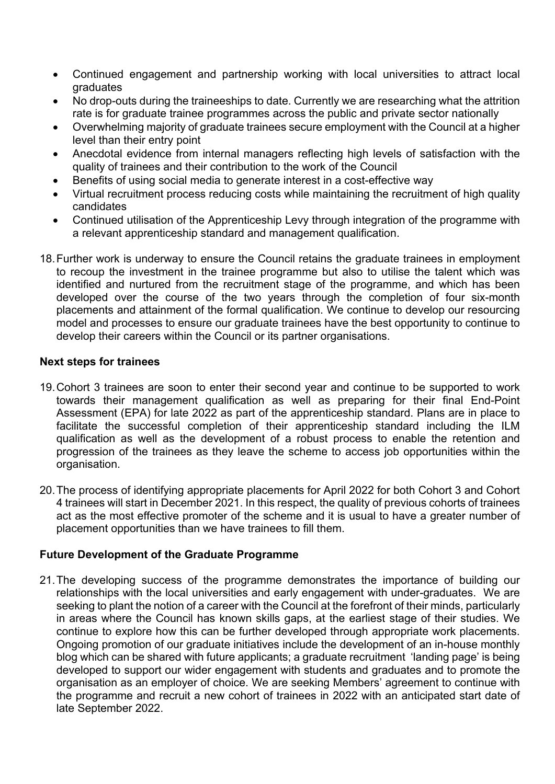- Continued engagement and partnership working with local universities to attract local graduates
- No drop-outs during the traineeships to date. Currently we are researching what the attrition rate is for graduate trainee programmes across the public and private sector nationally
- Overwhelming majority of graduate trainees secure employment with the Council at a higher level than their entry point
- Anecdotal evidence from internal managers reflecting high levels of satisfaction with the quality of trainees and their contribution to the work of the Council
- Benefits of using social media to generate interest in a cost-effective way
- Virtual recruitment process reducing costs while maintaining the recruitment of high quality candidates
- Continued utilisation of the Apprenticeship Levy through integration of the programme with a relevant apprenticeship standard and management qualification.
- 18. Further work is underway to ensure the Council retains the graduate trainees in employment to recoup the investment in the trainee programme but also to utilise the talent which was identified and nurtured from the recruitment stage of the programme, and which has been developed over the course of the two years through the completion of four six-month placements and attainment of the formal qualification. We continue to develop our resourcing model and processes to ensure our graduate trainees have the best opportunity to continue to develop their careers within the Council or its partner organisations.

#### **Next steps for trainees**

- 19. Cohort 3 trainees are soon to enter their second year and continue to be supported to work towards their management qualification as well as preparing for their final End-Point Assessment (EPA) for late 2022 as part of the apprenticeship standard. Plans are in place to facilitate the successful completion of their apprenticeship standard including the ILM qualification as well as the development of a robust process to enable the retention and progression of the trainees as they leave the scheme to access job opportunities within the organisation.
- 20. The process of identifying appropriate placements for April 2022 for both Cohort 3 and Cohort 4 trainees will start in December 2021. In this respect, the quality of previous cohorts of trainees act as the most effective promoter of the scheme and it is usual to have a greater number of placement opportunities than we have trainees to fill them.

#### **Future Development of the Graduate Programme**

21. The developing success of the programme demonstrates the importance of building our relationships with the local universities and early engagement with under-graduates. We are seeking to plant the notion of a career with the Council at the forefront of their minds, particularly in areas where the Council has known skills gaps, at the earliest stage of their studies. We continue to explore how this can be further developed through appropriate work placements. Ongoing promotion of our graduate initiatives include the development of an in-house monthly blog which can be shared with future applicants; a graduate recruitment 'landing page' is being developed to support our wider engagement with students and graduates and to promote the organisation as an employer of choice. We are seeking Members' agreement to continue with the programme and recruit a new cohort of trainees in 2022 with an anticipated start date of late September 2022.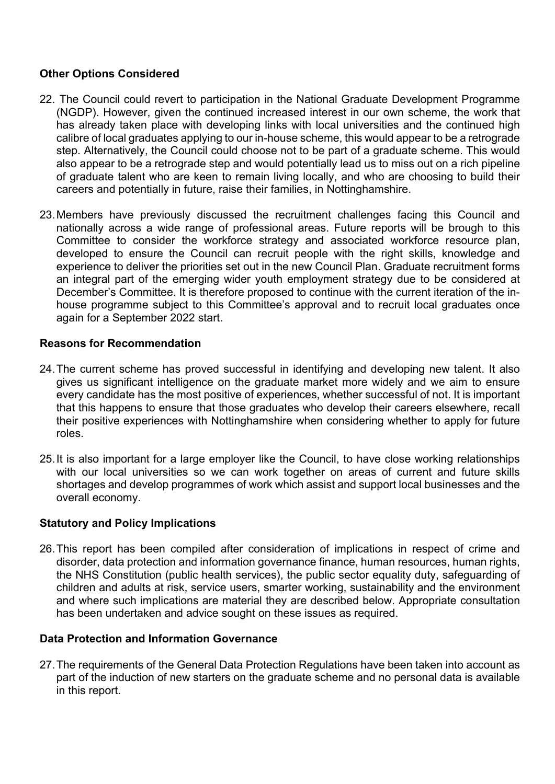#### **Other Options Considered**

- 22. The Council could revert to participation in the National Graduate Development Programme (NGDP). However, given the continued increased interest in our own scheme, the work that has already taken place with developing links with local universities and the continued high calibre of local graduates applying to our in-house scheme, this would appear to be a retrograde step. Alternatively, the Council could choose not to be part of a graduate scheme. This would also appear to be a retrograde step and would potentially lead us to miss out on a rich pipeline of graduate talent who are keen to remain living locally, and who are choosing to build their careers and potentially in future, raise their families, in Nottinghamshire.
- 23. Members have previously discussed the recruitment challenges facing this Council and nationally across a wide range of professional areas. Future reports will be brough to this Committee to consider the workforce strategy and associated workforce resource plan, developed to ensure the Council can recruit people with the right skills, knowledge and experience to deliver the priorities set out in the new Council Plan. Graduate recruitment forms an integral part of the emerging wider youth employment strategy due to be considered at December's Committee. It is therefore proposed to continue with the current iteration of the inhouse programme subject to this Committee's approval and to recruit local graduates once again for a September 2022 start.

#### **Reasons for Recommendation**

- 24. The current scheme has proved successful in identifying and developing new talent. It also gives us significant intelligence on the graduate market more widely and we aim to ensure every candidate has the most positive of experiences, whether successful of not. It is important that this happens to ensure that those graduates who develop their careers elsewhere, recall their positive experiences with Nottinghamshire when considering whether to apply for future roles.
- 25. It is also important for a large employer like the Council, to have close working relationships with our local universities so we can work together on areas of current and future skills shortages and develop programmes of work which assist and support local businesses and the overall economy.

#### **Statutory and Policy Implications**

26. This report has been compiled after consideration of implications in respect of crime and disorder, data protection and information governance finance, human resources, human rights, the NHS Constitution (public health services), the public sector equality duty, safeguarding of children and adults at risk, service users, smarter working, sustainability and the environment and where such implications are material they are described below. Appropriate consultation has been undertaken and advice sought on these issues as required.

#### **Data Protection and Information Governance**

27. The requirements of the General Data Protection Regulations have been taken into account as part of the induction of new starters on the graduate scheme and no personal data is available in this report.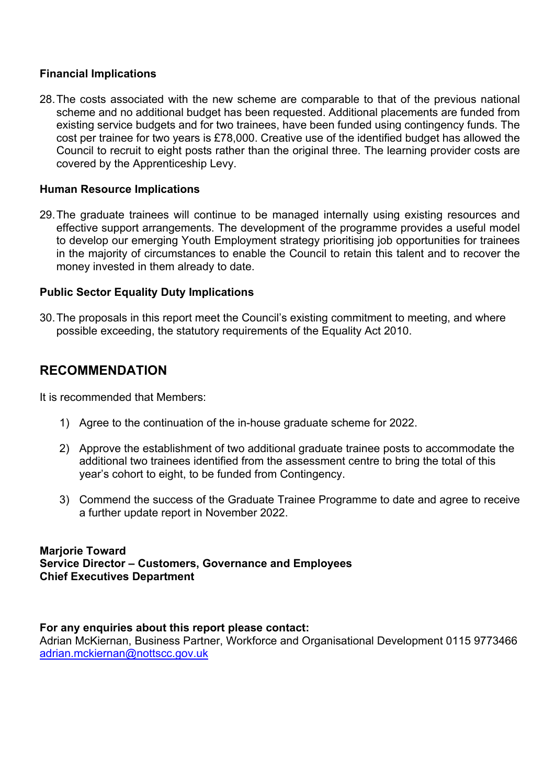#### **Financial Implications**

28. The costs associated with the new scheme are comparable to that of the previous national scheme and no additional budget has been requested. Additional placements are funded from existing service budgets and for two trainees, have been funded using contingency funds. The cost per trainee for two years is £78,000. Creative use of the identified budget has allowed the Council to recruit to eight posts rather than the original three. The learning provider costs are covered by the Apprenticeship Levy.

#### **Human Resource Implications**

29. The graduate trainees will continue to be managed internally using existing resources and effective support arrangements. The development of the programme provides a useful model to develop our emerging Youth Employment strategy prioritising job opportunities for trainees in the majority of circumstances to enable the Council to retain this talent and to recover the money invested in them already to date.

#### **Public Sector Equality Duty Implications**

30. The proposals in this report meet the Council's existing commitment to meeting, and where possible exceeding, the statutory requirements of the Equality Act 2010.

## **RECOMMENDATION**

It is recommended that Members:

- 1) Agree to the continuation of the in-house graduate scheme for 2022.
- 2) Approve the establishment of two additional graduate trainee posts to accommodate the additional two trainees identified from the assessment centre to bring the total of this year's cohort to eight, to be funded from Contingency.
- 3) Commend the success of the Graduate Trainee Programme to date and agree to receive a further update report in November 2022.

#### **Marjorie Toward Service Director – Customers, Governance and Employees Chief Executives Department**

#### **For any enquiries about this report please contact:**

Adrian McKiernan, Business Partner, Workforce and Organisational Development 0115 9773466 adrian.mckiernan@nottscc.gov.uk